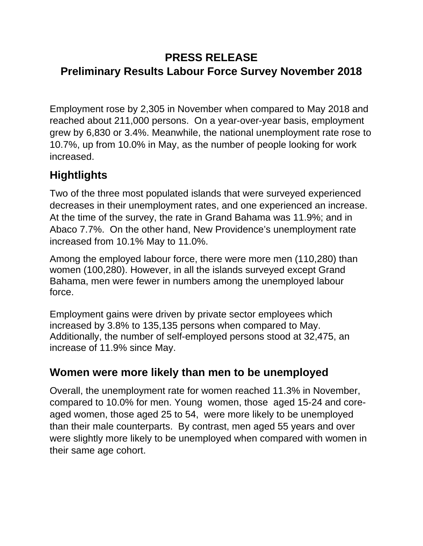## **PRESS RELEASE Preliminary Results Labour Force Survey November 2018**

Employment rose by 2,305 in November when compared to May 2018 and reached about 211,000 persons. On a year-over-year basis, employment grew by 6,830 or 3.4%. Meanwhile, the national unemployment rate rose to 10.7%, up from 10.0% in May, as the number of people looking for work increased.

# **Hightlights**

Two of the three most populated islands that were surveyed experienced decreases in their unemployment rates, and one experienced an increase. At the time of the survey, the rate in Grand Bahama was 11.9%; and in Abaco 7.7%. On the other hand, New Providence's unemployment rate increased from 10.1% May to 11.0%.

Among the employed labour force, there were more men (110,280) than women (100,280). However, in all the islands surveyed except Grand Bahama, men were fewer in numbers among the unemployed labour force.

Employment gains were driven by private sector employees which increased by 3.8% to 135,135 persons when compared to May. Additionally, the number of self-employed persons stood at 32,475, an increase of 11.9% since May.

## **Women were more likely than men to be unemployed**

Overall, the unemployment rate for women reached 11.3% in November, compared to 10.0% for men. Young women, those aged 15-24 and coreaged women, those aged 25 to 54, were more likely to be unemployed than their male counterparts. By contrast, men aged 55 years and over were slightly more likely to be unemployed when compared with women in their same age cohort.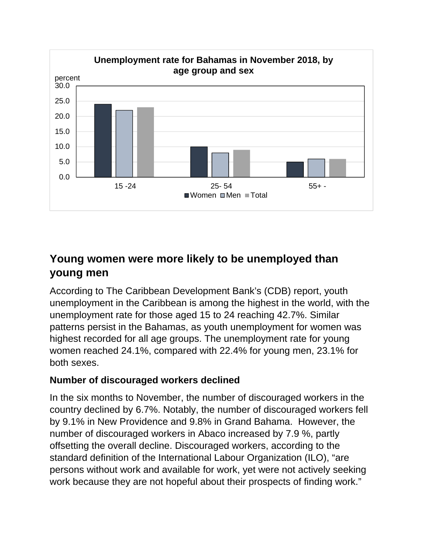

## **Young women were more likely to be unemployed than young men**

According to The Caribbean Development Bank's (CDB) report, youth unemployment in the Caribbean is among the highest in the world, with the unemployment rate for those aged 15 to 24 reaching 42.7%. Similar patterns persist in the Bahamas, as youth unemployment for women was highest recorded for all age groups. The unemployment rate for young women reached 24.1%, compared with 22.4% for young men, 23.1% for both sexes.

### **Number of discouraged workers declined**

In the six months to November, the number of discouraged workers in the country declined by 6.7%. Notably, the number of discouraged workers fell by 9.1% in New Providence and 9.8% in Grand Bahama. However, the number of discouraged workers in Abaco increased by 7.9 %, partly offsetting the overall decline. Discouraged workers, according to the standard definition of the International Labour Organization (ILO), "are persons without work and available for work, yet were not actively seeking work because they are not hopeful about their prospects of finding work."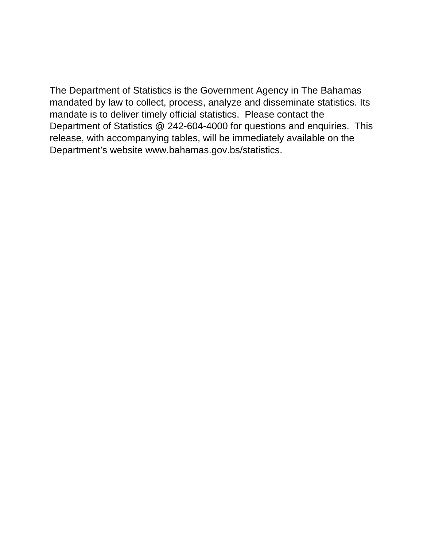The Department of Statistics is the Government Agency in The Bahamas mandated by law to collect, process, analyze and disseminate statistics. Its mandate is to deliver timely official statistics. Please contact the Department of Statistics @ 242-604-4000 for questions and enquiries. This release, with accompanying tables, will be immediately available on the Department's website www.bahamas.gov.bs/statistics.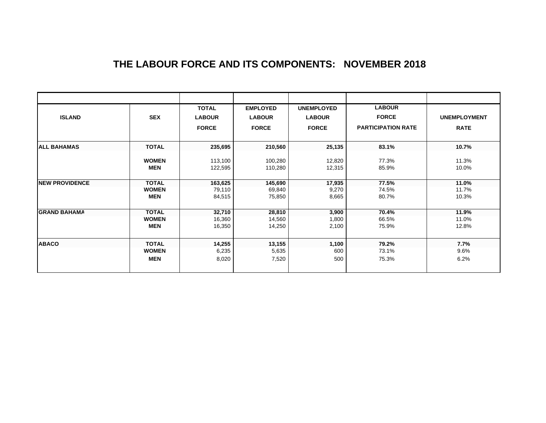### **THE LABOUR FORCE AND ITS COMPONENTS: NOVEMBER 2018**

| <b>ISLAND</b>          | <b>SEX</b>   | <b>TOTAL</b><br><b>LABOUR</b><br><b>FORCE</b> | <b>EMPLOYED</b><br><b>LABOUR</b><br><b>FORCE</b> | <b>UNEMPLOYED</b><br><b>LABOUR</b><br><b>FORCE</b> | <b>LABOUR</b><br><b>FORCE</b><br><b>PARTICIPATION RATE</b> | <b>UNEMPLOYMENT</b><br><b>RATE</b> |  |
|------------------------|--------------|-----------------------------------------------|--------------------------------------------------|----------------------------------------------------|------------------------------------------------------------|------------------------------------|--|
| <b>ALL BAHAMAS</b>     | <b>TOTAL</b> | 235,695                                       | 210,560                                          | 25,135                                             | 83.1%                                                      | 10.7%                              |  |
|                        | <b>WOMEN</b> | 113,100                                       | 100,280                                          | 12,820                                             | 77.3%                                                      | 11.3%                              |  |
|                        | <b>MEN</b>   | 122,595                                       | 110,280                                          | 12,315                                             | 85.9%                                                      | 10.0%                              |  |
| <b>INEW PROVIDENCE</b> | <b>TOTAL</b> | 163,625                                       | 145,690                                          | 17,935                                             | 77.5%                                                      | 11.0%                              |  |
|                        | <b>WOMEN</b> | 79,110                                        | 69,840                                           | 9,270                                              | 74.5%                                                      | 11.7%                              |  |
|                        | <b>MEN</b>   | 84,515                                        | 75,850                                           | 8,665                                              | 80.7%                                                      | 10.3%                              |  |
| <b>GRAND BAHAMA</b>    | <b>TOTAL</b> | 32,710                                        | 28,810                                           | 3,900                                              | 70.4%                                                      | 11.9%                              |  |
|                        | <b>WOMEN</b> | 16,360                                        | 14,560                                           | 1,800                                              | 66.5%                                                      | 11.0%                              |  |
|                        | <b>MEN</b>   | 16,350                                        | 14,250                                           | 2,100                                              | 75.9%                                                      | 12.8%                              |  |
| <b>ABACO</b>           | <b>TOTAL</b> | 14,255                                        | 13,155                                           | 1,100                                              | 79.2%                                                      | 7.7%                               |  |
|                        | <b>WOMEN</b> | 6,235                                         | 5,635                                            | 600                                                | 73.1%                                                      | $9.6\%$                            |  |
|                        | <b>MEN</b>   | 8,020                                         | 7,520                                            | 500                                                | 75.3%                                                      | 6.2%                               |  |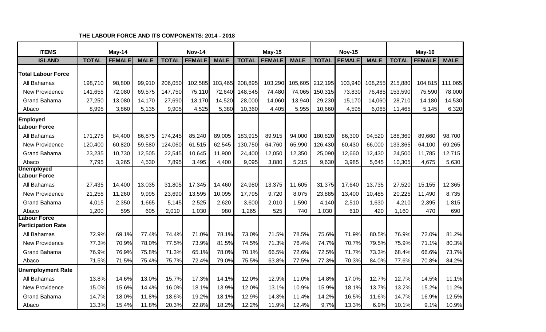| <b>ITEMS</b>                              |              | May-14        |             |              | <b>Nov-14</b> |             | <b>May-15</b> |               |             | <b>Nov-15</b>   |               |             | May-16       |               |             |
|-------------------------------------------|--------------|---------------|-------------|--------------|---------------|-------------|---------------|---------------|-------------|-----------------|---------------|-------------|--------------|---------------|-------------|
| <b>ISLAND</b>                             | <b>TOTAL</b> | <b>FEMALE</b> | <b>MALE</b> | <b>TOTAL</b> | <b>FEMALE</b> | <b>MALE</b> | <b>TOTAL</b>  | <b>FEMALE</b> | <b>MALE</b> | <b>TOTAL</b>    | <b>FEMALE</b> | <b>MALE</b> | <b>TOTAL</b> | <b>FEMALE</b> | <b>MALE</b> |
| <b>Total Labour Force</b>                 |              |               |             |              |               |             |               |               |             |                 |               |             |              |               |             |
| All Bahamas                               | 198,710      | 98,800        | 99,910      | 206,050      | 102,585       | 103,465     | 208,895       | 103,290       |             | 105,605 212,195 | 103,940       | 108,255     | 215,880      | 104,815       | 111,065     |
| <b>New Providence</b>                     | 141,655      | 72,080        | 69,575      | 147,750      | 75,110        | 72,640      | 148,545       | 74,480        | 74,065      | 150,315         | 73,830        | 76,485      | 153,590      | 75,590        | 78,000      |
| <b>Grand Bahama</b>                       | 27,250       | 13,080        | 14,170      | 27,690       | 13,170        | 14,520      | 28,000        | 14,060        | 13,940      | 29,230          | 15,170        | 14,060      | 28,710       | 14,180        | 14,530      |
| Abaco                                     | 8,995        | 3,860         | 5,135       | 9,905        | 4,525         | 5,380       | 10,360        | 4,405         | 5,955       | 10,660          | 4,595         | 6,065       | 11,465       | 5,145         | 6,320       |
| <b>Employed</b><br>Labour Force           |              |               |             |              |               |             |               |               |             |                 |               |             |              |               |             |
| All Bahamas                               | 171,275      | 84,400        | 86,875      | 174,245      | 85,240        | 89,005      | 183,915       | 89,915        | 94,000      | 180,820         | 86,300        | 94,520      | 188,360      | 89,660        | 98,700      |
| <b>New Providence</b>                     | 120,400      | 60,820        | 59,580      | 124,060      | 61,515        | 62,545      | 130,750       | 64,760        | 65,990      | 126,430         | 60,430        | 66,000      | 133,365      | 64,100        | 69,265      |
| <b>Grand Bahama</b>                       | 23,235       | 10,730        | 12,505      | 22,545       | 10,645        | 11,900      | 24,400        | 12,050        | 12,350      | 25,090          | 12,660        | 12,430      | 24,500       | 11,785        | 12,715      |
| Abaco                                     | 7,795        | 3,265         | 4,530       | 7,895        | 3,495         | 4,400       | 9,095         | 3,880         | 5,215       | 9,630           | 3,985         | 5,645       | 10,305       | 4,675         | 5,630       |
| <b>Unemployed</b><br>Labour Force         |              |               |             |              |               |             |               |               |             |                 |               |             |              |               |             |
| All Bahamas                               | 27,435       | 14,400        | 13,035      | 31,805       | 17,345        | 14,460      | 24,980        | 13,375        | 11,605      | 31,375          | 17,640        | 13,735      | 27,520       | 15,155        | 12,365      |
| New Providence                            | 21,255       | 11,260        | 9,995       | 23,690       | 13,595        | 10,095      | 17,795        | 9,720         | 8,075       | 23,885          | 13,400        | 10,485      | 20,225       | 11,490        | 8,735       |
| <b>Grand Bahama</b>                       | 4,015        | 2,350         | 1,665       | 5,145        | 2,525         | 2,620       | 3,600         | 2,010         | 1,590       | 4,140           | 2,510         | 1,630       | 4,210        | 2,395         | 1,815       |
| Abaco                                     | 1,200        | 595           | 605         | 2,010        | 1,030         | 980         | 1,265         | 525           | 740         | 1,030           | 610           | 420         | 1,160        | 470           | 690         |
| Labour Force<br><b>Participation Rate</b> |              |               |             |              |               |             |               |               |             |                 |               |             |              |               |             |
| All Bahamas                               | 72.9%        | 69.1%         | 77.4%       | 74.4%        | 71.0%         | 78.1%       | 73.0%         | 71.5%         | 78.5%       | 75.6%           | 71.9%         | 80.5%       | 76.9%        | 72.0%         | 81.2%       |
| <b>New Providence</b>                     | 77.3%        | 70.9%         | 78.0%       | 77.5%        | 73.9%         | 81.5%       | 74.5%         | 71.3%         | 76.4%       | 74.7%           | 70.7%         | 79.5%       | 75.9%        | 71.1%         | 80.3%       |
| <b>Grand Bahama</b>                       | 76.9%        | 76.9%         | 75.8%       | 71.3%        | 65.1%         | 78.0%       | 70.1%         | 66.5%         | 72.6%       | 72.5%           | 71.7%         | 73.3%       | 68.4%        | 66.6%         | 73.7%       |
| Abaco                                     | 71.5%        | 71.5%         | 75.4%       | 75.7%        | 72.4%         | 79.0%       | 75.5%         | 63.8%         | 77.5%       | 77.3%           | 70.3%         | 84.0%       | 77.6%        | 70.8%         | 84.2%       |
| <b>Unemployment Rate</b>                  |              |               |             |              |               |             |               |               |             |                 |               |             |              |               |             |
| All Bahamas                               | 13.8%        | 14.6%         | 13.0%       | 15.7%        | 17.3%         | 14.1%       | 12.0%         | 12.9%         | 11.0%       | 14.8%           | 17.0%         | 12.7%       | 12.7%        | 14.5%         | 11.1%       |
| <b>New Providence</b>                     | 15.0%        | 15.6%         | 14.4%       | 16.0%        | 18.1%         | 13.9%       | 12.0%         | 13.1%         | 10.9%       | 15.9%           | 18.1%         | 13.7%       | 13.2%        | 15.2%         | 11.2%       |
| <b>Grand Bahama</b>                       | 14.7%        | 18.0%         | 11.8%       | 18.6%        | 19.2%         | 18.1%       | 12.9%         | 14.3%         | 11.4%       | 14.2%           | 16.5%         | 11.6%       | 14.7%        | 16.9%         | 12.5%       |
| Abaco                                     | 13.3%        | 15.4%         | 11.8%       | 20.3%        | 22.8%         | 18.2%       | 12.2%         | 11.9%         | 12.4%       | 9.7%            | 13.3%         | 6.9%        | 10.1%        | 9.1%          | 10.9%       |

#### **THE LABOUR FORCE AND ITS COMPONENTS: 2014 - 2018**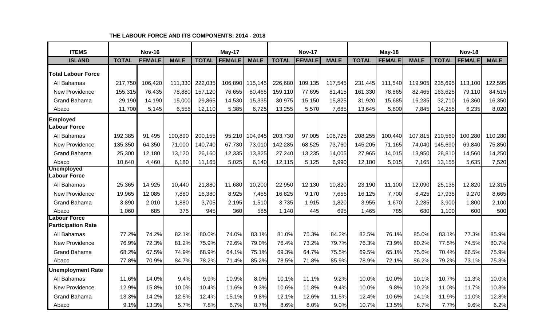| <b>ITEMS</b>                              | <b>Nov-16</b> |               | May-17      |              |               | <b>Nov-17</b> |              |               | May-18      |              |               | <b>Nov-18</b> |              |               |             |
|-------------------------------------------|---------------|---------------|-------------|--------------|---------------|---------------|--------------|---------------|-------------|--------------|---------------|---------------|--------------|---------------|-------------|
| <b>ISLAND</b>                             | <b>TOTAL</b>  | <b>FEMALE</b> | <b>MALE</b> | <b>TOTAL</b> | <b>FEMALE</b> | <b>MALE</b>   | <b>TOTAL</b> | <b>FEMALE</b> | <b>MALE</b> | <b>TOTAL</b> | <b>FEMALE</b> | <b>MALE</b>   | <b>TOTAL</b> | <b>FEMALE</b> | <b>MALE</b> |
| <b>Total Labour Force</b>                 |               |               |             |              |               |               |              |               |             |              |               |               |              |               |             |
| All Bahamas                               | 217,750       | 106,420       | 111,330     | 222,035      | 106,890       | 115,145       | 226,680      | 109,135       | 117,545     | 231,445      | 111,540       | 119,905       | 235,695      | 113,100       | 122,595     |
| <b>New Providence</b>                     | 155,315       | 76,435        | 78,880      | 157,120      | 76,655        | 80,465        | 159,110      | 77,695        | 81,415      | 161,330      | 78,865        | 82,465        | 163,625      | 79,110        | 84,515      |
| <b>Grand Bahama</b>                       | 29,190        | 14,190        | 15,000      | 29,865       | 14,530        | 15,335        | 30,975       | 15,150        | 15,825      | 31,920       | 15,685        | 16,235        | 32,710       | 16,360        | 16,350      |
| Abaco                                     | 11,700        | 5,145         | 6,555       | 12,110       | 5,385         | 6,725         | 13,255       | 5,570         | 7,685       | 13,645       | 5,800         | 7,845         | 14,255       | 6,235         | 8,020       |
| <b>Employed</b><br><b>Labour Force</b>    |               |               |             |              |               |               |              |               |             |              |               |               |              |               |             |
| All Bahamas                               | 192,385       | 91,495        | 100,890     | 200,155      | 95,210        | 104,945       | 203,730      | 97,005        | 106,725     | 208,255      | 100,440       | 107,815       | 210,560      | 100,280       | 110,280     |
| <b>New Providence</b>                     | 135,350       | 64,350        | 71,000      | 140,740      | 67,730        | 73,010        | 142,285      | 68,525        | 73,760      | 145,205      | 71,165        | 74,040        | 145,690      | 69,840        | 75,850      |
| <b>Grand Bahama</b>                       | 25,300        | 12,180        | 13,120      | 26,160       | 12,335        | 13,825        | 27,240       | 13,235        | 14,005      | 27,965       | 14,015        | 13,950        | 28,810       | 14,560        | 14,250      |
| Abaco                                     | 10,640        | 4,460         | 6,180       | 11,165       | 5,025         | 6,140         | 12,115       | 5,125         | 6,990       | 12,180       | 5,015         | 7,165         | 13,155       | 5,635         | 7,520       |
| <b>Unemployed</b><br><b>Labour Force</b>  |               |               |             |              |               |               |              |               |             |              |               |               |              |               |             |
| All Bahamas                               | 25,365        | 14,925        | 10,440      | 21,880       | 11,680        | 10,200        | 22,950       | 12,130        | 10,820      | 23,190       | 11,100        | 12,090        | 25,135       | 12,820        | 12,315      |
| <b>New Providence</b>                     | 19,965        | 12,085        | 7,880       | 16,380       | 8,925         | 7,455         | 16,825       | 9,170         | 7,655       | 16,125       | 7,700         | 8,425         | 17,935       | 9,270         | 8,665       |
| <b>Grand Bahama</b>                       | 3,890         | 2,010         | 1,880       | 3,705        | 2,195         | 1,510         | 3,735        | 1,915         | 1,820       | 3,955        | 1,670         | 2,285         | 3,900        | 1,800         | 2,100       |
| Abaco                                     | 1,060         | 685           | 375         | 945          | 360           | 585           | 1,140        | 445           | 695         | 1,465        | 785           | 680           | 1,100        | 600           | 500         |
| Labour Force<br><b>Participation Rate</b> |               |               |             |              |               |               |              |               |             |              |               |               |              |               |             |
| All Bahamas                               | 77.2%         | 74.2%         | 82.1%       | 80.0%        | 74.0%         | 83.1%         | 81.0%        | 75.3%         | 84.2%       | 82.5%        | 76.1%         | 85.0%         | 83.1%        | 77.3%         | 85.9%       |
| <b>New Providence</b>                     | 76.9%         | 72.3%         | 81.2%       | 75.9%        | 72.6%         | 79.0%         | 76.4%        | 73.2%         | 79.7%       | 76.3%        | 73.9%         | 80.2%         | 77.5%        | 74.5%         | 80.7%       |
| <b>Grand Bahama</b>                       | 68.2%         | 67.5%         | 74.9%       | 68.9%        | 64.1%         | 75.1%         | 69.3%        | 64.7%         | 75.5%       | 69.5%        | 65.1%         | 75.6%         | 70.4%        | 66.5%         | 75.9%       |
| Abaco                                     | 77.8%         | 70.9%         | 84.7%       | 78.2%        | 71.4%         | 85.2%         | 78.5%        | 71.8%         | 85.9%       | 78.9%        | 72.1%         | 86.2%         | 79.2%        | 73.1%         | 75.3%       |
| <b>Unemployment Rate</b>                  |               |               |             |              |               |               |              |               |             |              |               |               |              |               |             |
| All Bahamas                               | 11.6%         | 14.0%         | 9.4%        | 9.9%         | 10.9%         | 8.0%          | 10.1%        | 11.1%         | 9.2%        | 10.0%        | 10.0%         | 10.1%         | 10.7%        | 11.3%         | 10.0%       |
| <b>New Providence</b>                     | 12.9%         | 15.8%         | 10.0%       | 10.4%        | 11.6%         | 9.3%          | 10.6%        | 11.8%         | 9.4%        | 10.0%        | 9.8%          | 10.2%         | 11.0%        | 11.7%         | 10.3%       |
| <b>Grand Bahama</b>                       | 13.3%         | 14.2%         | 12.5%       | 12.4%        | 15.1%         | 9.8%          | 12.1%        | 12.6%         | 11.5%       | 12.4%        | 10.6%         | 14.1%         | 11.9%        | 11.0%         | 12.8%       |
| Abaco                                     | 9.1%          | 13.3%         | 5.7%        | 7.8%         | 6.7%          | 8.7%          | 8.6%         | 8.0%          | 9.0%        | 10.7%        | 13.5%         | 8.7%          | 7.7%         | 9.6%          | 6.2%        |

#### **THE LABOUR FORCE AND ITS COMPONENTS: 2014 - 2018**